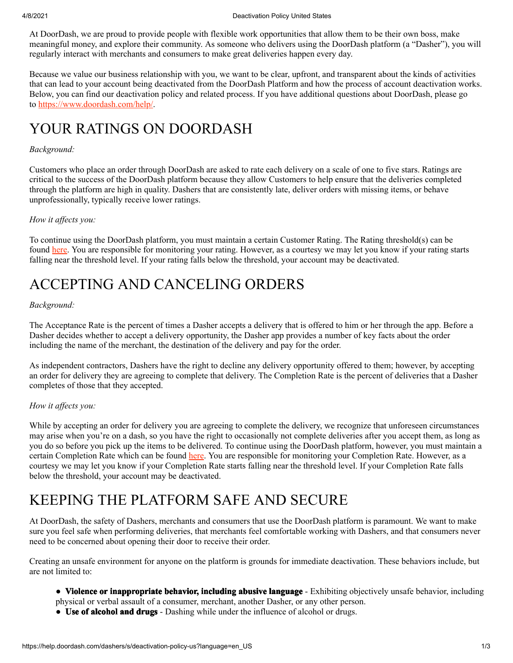At DoorDash, we are proud to provide people with flexible work opportunities that allow them to be their own boss, make meaningful money, and explore their community. As someone who delivers using the DoorDash platform (a "Dasher"), you will regularly interact with merchants and consumers to make great deliveries happen every day.

Because we value our business relationship with you, we want to be clear, upfront, and transparent about the kinds of activities that can lead to your account being deactivated from the DoorDash Platform and how the process of account deactivation works. Below, you can find our deactivation policy and related process. If you have additional questions about DoorDash, please go to [https://www.doordash.com/help/.](https://www.doordash.com/help/)

### YOUR RATINGS ON DOORDASH

#### *Background:*

Customers who place an order through DoorDash are asked to rate each delivery on a scale of one to five stars. Ratings are critical to the success of the DoorDash platform because they allow Customers to help ensure that the deliveries completed through the platform are high in quality. Dashers that are consistently late, deliver orders with missing items, or behave unprofessionally, typically receive lower ratings.

#### *How it affects you:*

To continue using the DoorDash platform, you must maintain a certain Customer Rating. The Rating threshold(s) can be found [here](https://help.doordash.com/dashers/s/article/What-is-DoorDash-s-Dasher-deactivation-policy). You are responsible for monitoring your rating. However, as a courtesy we may let you know if your rating starts falling near the threshold level. If your rating falls below the threshold, your account may be deactivated.

### ACCEPTING AND CANCELING ORDERS

#### *Background:*

The Acceptance Rate is the percent of times a Dasher accepts a delivery that is offered to him or her through the app. Before a Dasher decides whether to accept a delivery opportunity, the Dasher app provides a number of key facts about the order including the name of the merchant, the destination of the delivery and pay for the order.

As independent contractors, Dashers have the right to decline any delivery opportunity offered to them; however, by accepting an order for delivery they are agreeing to complete that delivery. The Completion Rate is the percent of deliveries that a Dasher completes of those that they accepted.

#### *How it affects you:*

While by accepting an order for delivery you are agreeing to complete the delivery, we recognize that unforeseen circumstances may arise when you're on a dash, so you have the right to occasionally not complete deliveries after you accept them, as long as you do so before you pick up the items to be delivered. To continue using the DoorDash platform, however, you must maintain a certain Completion Rate which can be found [here](http://dasherhelp.doordash.com/dasher-ratings). You are responsible for monitoring your Completion Rate. However, as a courtesy we may let you know if your Completion Rate starts falling near the threshold level. If your Completion Rate falls below the threshold, your account may be deactivated.

### KEEPING THE PLATFORM SAFE AND SECURE

At DoorDash, the safety of Dashers, merchants and consumers that use the DoorDash platform is paramount. We want to make sure you feel safe when performing deliveries, that merchants feel comfortable working with Dashers, and that consumers never need to be concerned about opening their door to receive their order.

Creating an unsafe environment for anyone on the platform is grounds for immediate deactivation. These behaviors include, but are not limited to:

- **Violence or inappropriate behavior, including abusive language** Exhibiting objectively unsafe behavior, including physical or verbal assault of a consumer, merchant, another Dasher, or any other person.
- **Use of alcohol and drugs** Dashing while under the influence of alcohol or drugs.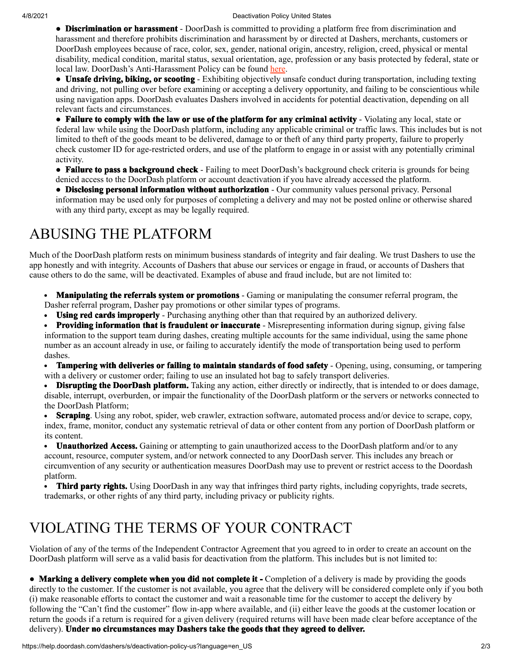● **Discrimination or harassment** - DoorDash is committed to providing a platform free from discrimination and harassment and therefore prohibits discrimination and harassment by or directed at Dashers, merchants, customers or DoorDash employees because of race, color, sex, gender, national origin, ancestry, religion, creed, physical or mental disability, medical condition, marital status, sexual orientation, age, profession or any basis protected by federal, state or local law. DoorDash's Anti-Harassment Policy can be found [here.](https://help.doordash.com/dashers/s/article/DoorDash-Anti-Harassment-Policy)

● **Unsafe driving, biking, or scooting** - Exhibiting objectively unsafe conduct during transportation, including texting and driving, not pulling over before examining or accepting a delivery opportunity, and failing to be conscientious while using navigation apps. DoorDash evaluates Dashers involved in accidents for potential deactivation, depending on all relevant facts and circumstances.

● **Failure to comply with the law or use of the platform for any criminal activity** - Violating any local, state or federal law while using the DoorDash platform, including any applicable criminal or traffic laws. This includes but is not limited to theft of the goods meant to be delivered, damage to or theft of any third party property, failure to properly check customer ID for age-restricted orders, and use of the platform to engage in or assist with any potentially criminal activity.

● **Failure to pass a background check** - Failing to meet DoorDash's background check criteria is grounds for being denied access to the DoorDash platform or account deactivation if you have already accessed the platform.

● **Disclosing personal information without authorization** - Our community values personal privacy. Personal information may be used only for purposes of completing a delivery and may not be posted online or otherwise shared with any third party, except as may be legally required.

# ABUSING THE PLATFORM

Much of the DoorDash platform rests on minimum business standards of integrity and fair dealing. We trust Dashers to use the app honestly and with integrity. Accounts of Dashers that abuse our services or engage in fraud, or accounts of Dashers that cause others to do the same, will be deactivated. Examples of abuse and fraud include, but are not limited to:

- **Manipulating the referrals system or promotions** Gaming or manipulating the consumer referral program, the Dasher referral program, Dasher pay promotions or other similar types of programs.
- **Using red cards improperly** Purchasing anything other than that required by an authorized delivery.  $\bullet$

**Providing information that is fraudulent or inaccurate** - Misrepresenting information during signup, giving false information to the support team during dashes, creating multiple accounts for the same individual, using the same phone number as an account already in use, or failing to accurately identify the mode of transportation being used to perform dashes.

**Tampering with deliveries or failing to maintain standards of food safety** - Opening, using, consuming, or tampering  $\bullet$ with a delivery or customer order; failing to use an insulated hot bag to safely transport deliveries.

**Disrupting the DoorDash platform.** Taking any action, either directly or indirectly, that is intended to or does damage,  $\bullet$ disable, interrupt, overburden, or impair the functionality of the DoorDash platform or the servers or networks connected to the DoorDash Platform;

**Scraping**. Using any robot, spider, web crawler, extraction software, automated process and/or device to scrape, copy,  $\bullet$ index, frame, monitor, conduct any systematic retrieval of data or other content from any portion of DoorDash platform or its content.

**Unauthorized Access.** Gaining or attempting to gain unauthorized access to the DoorDash platform and/or to any  $\bullet$ account, resource, computer system, and/or network connected to any DoorDash server. This includes any breach or circumvention of any security or authentication measures DoorDash may use to prevent or restrict access to the Doordash platform.

**Third party rights.** Using DoorDash in any way that infringes third party rights, including copyrights, trade secrets, trademarks, or other rights of any third party, including privacy or publicity rights.

# VIOLATING THE TERMS OF YOUR CONTRACT

Violation of any of the terms of the Independent Contractor Agreement that you agreed to in order to create an account on the DoorDash platform will serve as a valid basis for deactivation from the platform. This includes but is not limited to:

● **Marking a delivery complete when you did not complete it -** Completion of a delivery is made by providing the goods directly to the customer. If the customer is not available, you agree that the delivery will be considered complete only if you both (i) make reasonable efforts to contact the customer and wait a reasonable time for the customer to accept the delivery by following the "Can't find the customer" flow in-app where available, and (ii) either leave the goods at the customer location or return the goods if a return is required for a given delivery (required returns will have been made clear before acceptance of the delivery). **Under no circumstances may Dashers take the goods that they agreed to deliver.**